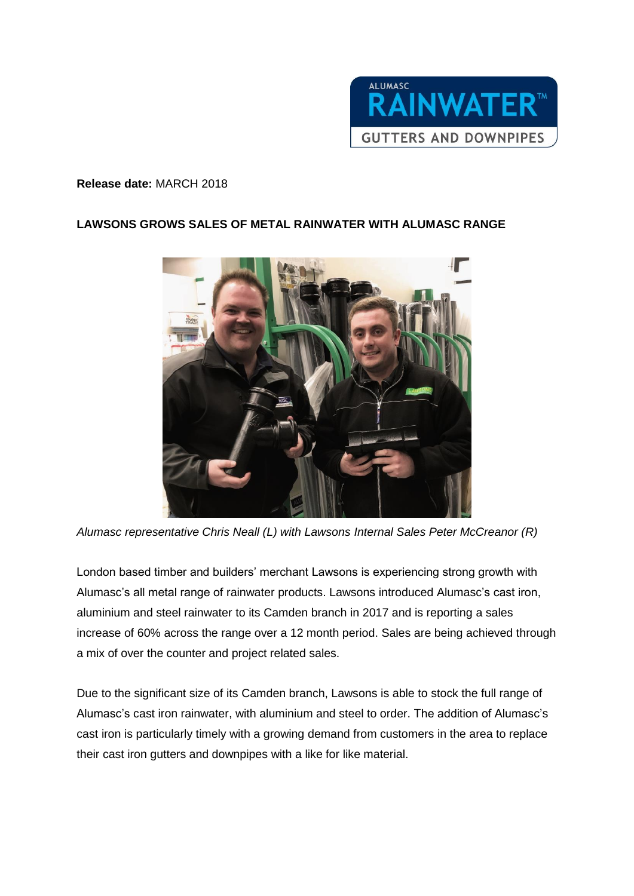

## **Release date:** MARCH 2018

## **LAWSONS GROWS SALES OF METAL RAINWATER WITH ALUMASC RANGE**



*Alumasc representative Chris Neall (L) with Lawsons Internal Sales Peter McCreanor (R)*

London based timber and builders' merchant Lawsons is experiencing strong growth with Alumasc's all metal range of rainwater products. Lawsons introduced Alumasc's cast iron, aluminium and steel rainwater to its Camden branch in 2017 and is reporting a sales increase of 60% across the range over a 12 month period. Sales are being achieved through a mix of over the counter and project related sales.

Due to the significant size of its Camden branch, Lawsons is able to stock the full range of Alumasc's cast iron rainwater, with aluminium and steel to order. The addition of Alumasc's cast iron is particularly timely with a growing demand from customers in the area to replace their cast iron gutters and downpipes with a like for like material.